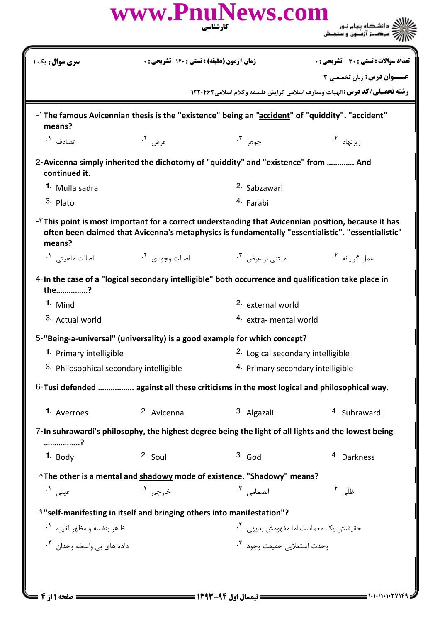| زمان آزمون (دقیقه) : تستی : 120 تشریحی : 0<br><b>سری سوال :</b> یک ۱<br><b>رشته تحصیلی/کد درس: ا</b> لهیات ومعارف اسلامی گرایش فلسفه وکلام اسلامی1۲۲۰۴۶۲<br>-1 The famous Avicennian thesis is the "existence" being an "accident" of "quiddity". "accident"<br>means?<br>جوهر ۳.<br>عرض <sup>٢</sup> ٠<br>زیرنهاد ۴.<br>تصادف <sup>۱</sup> ۰<br>2-Avicenna simply inherited the dichotomy of "quiddity" and "existence" from  And<br>continued it.<br>2. Sabzawari<br>1. Mulla sadra<br>3. Plato<br>4. Farabi<br>$-5$ This point is most important for a correct understanding that Avicennian position, because it has<br>often been claimed that Avicenna's metaphysics is fundamentally "essentialistic". "essentialistic"<br>means?<br>مبتنی بر عرض ل <sup>۳</sup> ۰<br>اصالت وجودی <sup>۲</sup> ۰<br>اصالت ماهيتي <sup>١</sup> ٠<br>عمل گرایانه <sup>۴.</sup><br>4-In the case of a "logical secondary intelligible" both occurrence and qualification take place in<br>the?<br>1. Mind<br><sup>2.</sup> external world<br>3. Actual world<br>4. extra- mental world<br>5-"Being-a-universal" (universality) is a good example for which concept?<br><sup>2.</sup> Logical secondary intelligible<br>1. Primary intelligible<br>4. Primary secondary intelligible<br>3. Philosophical secondary intelligible<br>6-Tusi defended  against all these criticisms in the most logical and philosophical way.<br>2. Avicenna<br>3. Algazali<br>1. Averroes<br>4. Suhrawardi<br>7-In suhrawardi's philosophy, the highest degree being the light of all lights and the lowest being<br>?<br>$1.$ Body<br>$3.$ God<br>$2.$ Soul<br>4. Darkness<br>-^The other is a mental and shadowy mode of existence. "Shadowy" means?<br>انضمامی ۳.<br>ظلّی <sup>۴</sup> ۰<br>عيني ١.<br>خارجي <sup>٢</sup> ٠<br>- <sup>4</sup> "self-manifesting in itself and bringing others into manifestation"?<br>ظاهر بنفسه و مظهر لغیره <sup>۱</sup> ۰<br>حقیقتش یک معماست اما مفهومش بدیه <sub>ی</sub> <sup>۲</sup> ۰<br>وحدت استعلايي حقيقت وجود <sup>۴</sup> ۰ |                                         | www.PnuNews.com | کار شناسی | ک دانشگاه پیام نور<br>(7 مرکـز آزمـون و سنجـش |  |
|----------------------------------------------------------------------------------------------------------------------------------------------------------------------------------------------------------------------------------------------------------------------------------------------------------------------------------------------------------------------------------------------------------------------------------------------------------------------------------------------------------------------------------------------------------------------------------------------------------------------------------------------------------------------------------------------------------------------------------------------------------------------------------------------------------------------------------------------------------------------------------------------------------------------------------------------------------------------------------------------------------------------------------------------------------------------------------------------------------------------------------------------------------------------------------------------------------------------------------------------------------------------------------------------------------------------------------------------------------------------------------------------------------------------------------------------------------------------------------------------------------------------------------------------------------------------------------------------------------------------------------------------------------------------------------------------------------------------------------------------------------------------------------------------------------------------------------------------------------------------------------------------------------------------------------------------------------------------------------------------------------------------------------------------|-----------------------------------------|-----------------|-----------|-----------------------------------------------|--|
|                                                                                                                                                                                                                                                                                                                                                                                                                                                                                                                                                                                                                                                                                                                                                                                                                                                                                                                                                                                                                                                                                                                                                                                                                                                                                                                                                                                                                                                                                                                                                                                                                                                                                                                                                                                                                                                                                                                                                                                                                                              |                                         |                 |           | <b>تعداد سوالات : تستی : 30 ٪ تشریحی : 0</b>  |  |
|                                                                                                                                                                                                                                                                                                                                                                                                                                                                                                                                                                                                                                                                                                                                                                                                                                                                                                                                                                                                                                                                                                                                                                                                                                                                                                                                                                                                                                                                                                                                                                                                                                                                                                                                                                                                                                                                                                                                                                                                                                              |                                         |                 |           | <b>عنـــوان درس:</b> زبان تخصصی ۳             |  |
|                                                                                                                                                                                                                                                                                                                                                                                                                                                                                                                                                                                                                                                                                                                                                                                                                                                                                                                                                                                                                                                                                                                                                                                                                                                                                                                                                                                                                                                                                                                                                                                                                                                                                                                                                                                                                                                                                                                                                                                                                                              |                                         |                 |           |                                               |  |
|                                                                                                                                                                                                                                                                                                                                                                                                                                                                                                                                                                                                                                                                                                                                                                                                                                                                                                                                                                                                                                                                                                                                                                                                                                                                                                                                                                                                                                                                                                                                                                                                                                                                                                                                                                                                                                                                                                                                                                                                                                              |                                         |                 |           |                                               |  |
|                                                                                                                                                                                                                                                                                                                                                                                                                                                                                                                                                                                                                                                                                                                                                                                                                                                                                                                                                                                                                                                                                                                                                                                                                                                                                                                                                                                                                                                                                                                                                                                                                                                                                                                                                                                                                                                                                                                                                                                                                                              |                                         |                 |           |                                               |  |
|                                                                                                                                                                                                                                                                                                                                                                                                                                                                                                                                                                                                                                                                                                                                                                                                                                                                                                                                                                                                                                                                                                                                                                                                                                                                                                                                                                                                                                                                                                                                                                                                                                                                                                                                                                                                                                                                                                                                                                                                                                              |                                         |                 |           |                                               |  |
|                                                                                                                                                                                                                                                                                                                                                                                                                                                                                                                                                                                                                                                                                                                                                                                                                                                                                                                                                                                                                                                                                                                                                                                                                                                                                                                                                                                                                                                                                                                                                                                                                                                                                                                                                                                                                                                                                                                                                                                                                                              |                                         |                 |           |                                               |  |
|                                                                                                                                                                                                                                                                                                                                                                                                                                                                                                                                                                                                                                                                                                                                                                                                                                                                                                                                                                                                                                                                                                                                                                                                                                                                                                                                                                                                                                                                                                                                                                                                                                                                                                                                                                                                                                                                                                                                                                                                                                              |                                         |                 |           |                                               |  |
|                                                                                                                                                                                                                                                                                                                                                                                                                                                                                                                                                                                                                                                                                                                                                                                                                                                                                                                                                                                                                                                                                                                                                                                                                                                                                                                                                                                                                                                                                                                                                                                                                                                                                                                                                                                                                                                                                                                                                                                                                                              |                                         |                 |           |                                               |  |
|                                                                                                                                                                                                                                                                                                                                                                                                                                                                                                                                                                                                                                                                                                                                                                                                                                                                                                                                                                                                                                                                                                                                                                                                                                                                                                                                                                                                                                                                                                                                                                                                                                                                                                                                                                                                                                                                                                                                                                                                                                              |                                         |                 |           |                                               |  |
|                                                                                                                                                                                                                                                                                                                                                                                                                                                                                                                                                                                                                                                                                                                                                                                                                                                                                                                                                                                                                                                                                                                                                                                                                                                                                                                                                                                                                                                                                                                                                                                                                                                                                                                                                                                                                                                                                                                                                                                                                                              |                                         |                 |           |                                               |  |
|                                                                                                                                                                                                                                                                                                                                                                                                                                                                                                                                                                                                                                                                                                                                                                                                                                                                                                                                                                                                                                                                                                                                                                                                                                                                                                                                                                                                                                                                                                                                                                                                                                                                                                                                                                                                                                                                                                                                                                                                                                              |                                         |                 |           |                                               |  |
|                                                                                                                                                                                                                                                                                                                                                                                                                                                                                                                                                                                                                                                                                                                                                                                                                                                                                                                                                                                                                                                                                                                                                                                                                                                                                                                                                                                                                                                                                                                                                                                                                                                                                                                                                                                                                                                                                                                                                                                                                                              |                                         |                 |           |                                               |  |
|                                                                                                                                                                                                                                                                                                                                                                                                                                                                                                                                                                                                                                                                                                                                                                                                                                                                                                                                                                                                                                                                                                                                                                                                                                                                                                                                                                                                                                                                                                                                                                                                                                                                                                                                                                                                                                                                                                                                                                                                                                              |                                         |                 |           |                                               |  |
|                                                                                                                                                                                                                                                                                                                                                                                                                                                                                                                                                                                                                                                                                                                                                                                                                                                                                                                                                                                                                                                                                                                                                                                                                                                                                                                                                                                                                                                                                                                                                                                                                                                                                                                                                                                                                                                                                                                                                                                                                                              |                                         |                 |           |                                               |  |
|                                                                                                                                                                                                                                                                                                                                                                                                                                                                                                                                                                                                                                                                                                                                                                                                                                                                                                                                                                                                                                                                                                                                                                                                                                                                                                                                                                                                                                                                                                                                                                                                                                                                                                                                                                                                                                                                                                                                                                                                                                              |                                         |                 |           |                                               |  |
|                                                                                                                                                                                                                                                                                                                                                                                                                                                                                                                                                                                                                                                                                                                                                                                                                                                                                                                                                                                                                                                                                                                                                                                                                                                                                                                                                                                                                                                                                                                                                                                                                                                                                                                                                                                                                                                                                                                                                                                                                                              |                                         |                 |           |                                               |  |
|                                                                                                                                                                                                                                                                                                                                                                                                                                                                                                                                                                                                                                                                                                                                                                                                                                                                                                                                                                                                                                                                                                                                                                                                                                                                                                                                                                                                                                                                                                                                                                                                                                                                                                                                                                                                                                                                                                                                                                                                                                              |                                         |                 |           |                                               |  |
|                                                                                                                                                                                                                                                                                                                                                                                                                                                                                                                                                                                                                                                                                                                                                                                                                                                                                                                                                                                                                                                                                                                                                                                                                                                                                                                                                                                                                                                                                                                                                                                                                                                                                                                                                                                                                                                                                                                                                                                                                                              |                                         |                 |           |                                               |  |
|                                                                                                                                                                                                                                                                                                                                                                                                                                                                                                                                                                                                                                                                                                                                                                                                                                                                                                                                                                                                                                                                                                                                                                                                                                                                                                                                                                                                                                                                                                                                                                                                                                                                                                                                                                                                                                                                                                                                                                                                                                              |                                         |                 |           |                                               |  |
|                                                                                                                                                                                                                                                                                                                                                                                                                                                                                                                                                                                                                                                                                                                                                                                                                                                                                                                                                                                                                                                                                                                                                                                                                                                                                                                                                                                                                                                                                                                                                                                                                                                                                                                                                                                                                                                                                                                                                                                                                                              |                                         |                 |           |                                               |  |
|                                                                                                                                                                                                                                                                                                                                                                                                                                                                                                                                                                                                                                                                                                                                                                                                                                                                                                                                                                                                                                                                                                                                                                                                                                                                                                                                                                                                                                                                                                                                                                                                                                                                                                                                                                                                                                                                                                                                                                                                                                              |                                         |                 |           |                                               |  |
|                                                                                                                                                                                                                                                                                                                                                                                                                                                                                                                                                                                                                                                                                                                                                                                                                                                                                                                                                                                                                                                                                                                                                                                                                                                                                                                                                                                                                                                                                                                                                                                                                                                                                                                                                                                                                                                                                                                                                                                                                                              |                                         |                 |           |                                               |  |
|                                                                                                                                                                                                                                                                                                                                                                                                                                                                                                                                                                                                                                                                                                                                                                                                                                                                                                                                                                                                                                                                                                                                                                                                                                                                                                                                                                                                                                                                                                                                                                                                                                                                                                                                                                                                                                                                                                                                                                                                                                              | داده های یی واسطه وجدان ۲ <sup>۰۳</sup> |                 |           |                                               |  |
|                                                                                                                                                                                                                                                                                                                                                                                                                                                                                                                                                                                                                                                                                                                                                                                                                                                                                                                                                                                                                                                                                                                                                                                                                                                                                                                                                                                                                                                                                                                                                                                                                                                                                                                                                                                                                                                                                                                                                                                                                                              |                                         |                 |           |                                               |  |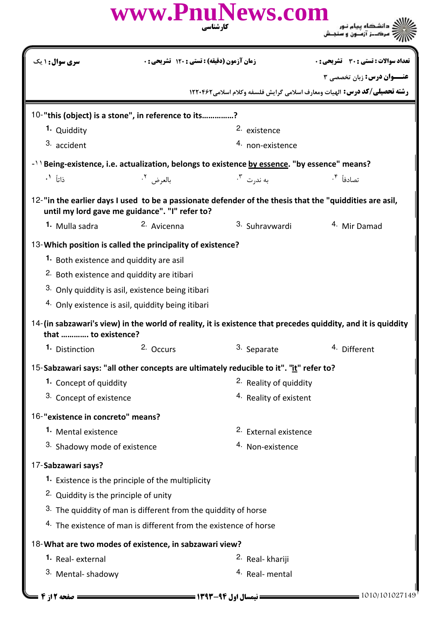## كارشناسي **عنـــوان درس:** زبان تخصصي ۳ **رشته تحصیلی/کد درس:** الهیات ومعارف اسلامی گرایش فلسفه وکلام اسلامی1۲۲۰۴۶۲ تعداد سوالات : تستي تشريحي زمان آزمون (دقيقه) : تستي تشريحي سري سوال 
: : : : **تعداد سوالات : تستی : 30 - تشریحی : 0** 10-"this (object) is a stone", in reference to its...............? 2. existence 4. non-existence 1. Quiddity 3. accident -11 Being-existence, i.e. actualization, belongs to existence **by essence. "by essence" means**? بالعرض <sup>٢</sup>. وأنا أو التأويل المستخدم المستخدم المستخدم المستخدم المستخدم المستخدم المستخدم المستخدم المستخدم ال تصادفاً <sup>۴</sup>. .۳ ند<sub>ر</sub>ت ۲<sup>.</sup> 12-"in the earlier days I used to be a passionate defender of the thesis that the "quiddities are asil, until my lord gave me guidance". "I" refer to? 1. Mulla sadra <sup>2.</sup> Avicenna <sup>3.</sup> Suhravwardi <sup>4.</sup> Mir Damad Which position is called the principality of existence? 13- 1. Both existence and quiddity are asil 2. Both existence and quiddity are itibari  $3.$  Only quiddity is asil, existence being itibari 4. Only existence is asil, quiddity being itibari 14- (in sabzawari's view) in the world of reality, it is existence that precedes quiddity, and it is quiddity that …………. to existence? 2. Occurs 3. Separate 4. Different **1.** Distinction 15-Sabzawari says: "all other concepts are ultimately reducible to it". "it" refer to? 2. Reality of quiddity <sup>3.</sup> Concept of existence and the set of the set of existent and the set of existent **1.** Concept of quiddity 16-"existence in concreto" means? 2. Fxternal existence  $3.$  Shadowy mode of existence  $4.$  Non-existence **1.** Mental existence 17-Sabzawari says? 1. Existence is the principle of the multiplicity <sup>2.</sup> Quiddity is the principle of unity  $3.$  The quiddity of man is different from the quiddity of horse  $4.$  The existence of man is different from the existence of horse What are two modes of existence, in sabzawari view? 18- 2. Real- khariji 3. Mental-shadowy and the state of the state of the state of the state of the state of the state of the state of the state of the state of the state of the state of the state of the state of the state of the state of the s **1.** Real-external **[www.PnuNews.com](http://www.pnunews.com)**

1010/101027149 1393-94 نيمسال اول 2 از 4 صفحه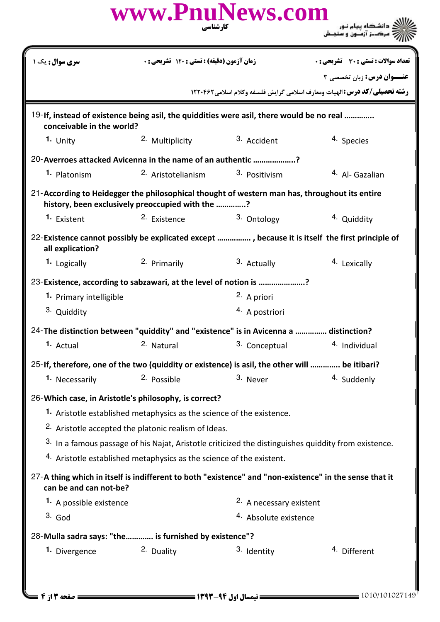|                                                       | www.PnuNews.com                                                                                                                                   | کارشناسی                         | ک دانشگاه پیام نور<br>رخ مرکــز آزمــون و سنجـش                                                                      |  |  |
|-------------------------------------------------------|---------------------------------------------------------------------------------------------------------------------------------------------------|----------------------------------|----------------------------------------------------------------------------------------------------------------------|--|--|
| <b>سری سوال :</b> یک ۱                                | زمان آزمون (دقیقه) : تستی : 120 تشریحی: 0                                                                                                         |                                  | <b>تعداد سوالات : تستی : 30 ٪ تشریحی : 0</b>                                                                         |  |  |
|                                                       |                                                                                                                                                   |                                  | <b>عنــوان درس:</b> زبان تخصصي 3<br><b>رشته تحصیلی/کد درس: ا</b> لهیات ومعارف اسلامی گرایش فلسفه وکلام اسلامی1۲۲۰۴۶۲ |  |  |
| conceivable in the world?                             | 19-If, instead of existence being asil, the quiddities were asil, there would be no real                                                          |                                  |                                                                                                                      |  |  |
| 1. Unity                                              | 2. Multiplicity                                                                                                                                   | 3. Accident                      | 4. Species                                                                                                           |  |  |
|                                                       | 20-Averroes attacked Avicenna in the name of an authentic ?                                                                                       |                                  |                                                                                                                      |  |  |
| 1. Platonism                                          | 2. Aristotelianism                                                                                                                                | 3. Positivism                    | <sup>4.</sup> Al- Gazalian                                                                                           |  |  |
|                                                       | 21-According to Heidegger the philosophical thought of western man has, throughout its entire<br>history, been exclusively preoccupied with the ? |                                  |                                                                                                                      |  |  |
| <sup>1.</sup> Existent                                | <sup>2.</sup> Existence                                                                                                                           | 3. Ontology                      | <sup>4</sup> Quiddity                                                                                                |  |  |
| all explication?                                      |                                                                                                                                                   |                                  | 22-Existence cannot possibly be explicated except , because it is itself the first principle of                      |  |  |
| <sup>1.</sup> Logically                               | 2. Primarily                                                                                                                                      | 3. Actually                      | <sup>4</sup> Lexically                                                                                               |  |  |
|                                                       | 23-Existence, according to sabzawari, at the level of notion is ?                                                                                 |                                  |                                                                                                                      |  |  |
| 1. Primary intelligible                               |                                                                                                                                                   | 2. A priori                      |                                                                                                                      |  |  |
| 3. Quiddity                                           |                                                                                                                                                   | <sup>4.</sup> A postriori        |                                                                                                                      |  |  |
|                                                       | 24-The distinction between "quiddity" and "existence" is in Avicenna a  distinction?                                                              |                                  |                                                                                                                      |  |  |
| 1. Actual                                             | 2. Natural                                                                                                                                        | 3. Conceptual                    | 4. Individual                                                                                                        |  |  |
|                                                       | 25-If, therefore, one of the two (quiddity or existence) is asil, the other will  be itibari?                                                     |                                  |                                                                                                                      |  |  |
| 1. Necessarily                                        | 2. Possible                                                                                                                                       | 3. Never                         | 4. Suddenly                                                                                                          |  |  |
|                                                       | 26-Which case, in Aristotle's philosophy, is correct?                                                                                             |                                  |                                                                                                                      |  |  |
|                                                       | 1. Aristotle established metaphysics as the science of the existence.                                                                             |                                  |                                                                                                                      |  |  |
|                                                       | <sup>2.</sup> Aristotle accepted the platonic realism of Ideas.                                                                                   |                                  |                                                                                                                      |  |  |
|                                                       |                                                                                                                                                   |                                  | <sup>3.</sup> In a famous passage of his Najat, Aristotle criticized the distinguishes quiddity from existence.      |  |  |
|                                                       | 4. Aristotle established metaphysics as the science of the existent.                                                                              |                                  |                                                                                                                      |  |  |
| can be and can not-be?                                |                                                                                                                                                   |                                  | 27-A thing which in itself is indifferent to both "existence" and "non-existence" in the sense that it               |  |  |
| 1. A possible existence                               |                                                                                                                                                   | 2. A necessary existent          |                                                                                                                      |  |  |
| $3.$ God                                              |                                                                                                                                                   | <sup>4.</sup> Absolute existence |                                                                                                                      |  |  |
| 28-Mulla sadra says: "the is furnished by existence"? |                                                                                                                                                   |                                  |                                                                                                                      |  |  |
| 1. Divergence                                         | 2. Duality                                                                                                                                        | 3. Identity                      | 4. Different                                                                                                         |  |  |
|                                                       |                                                                                                                                                   |                                  |                                                                                                                      |  |  |